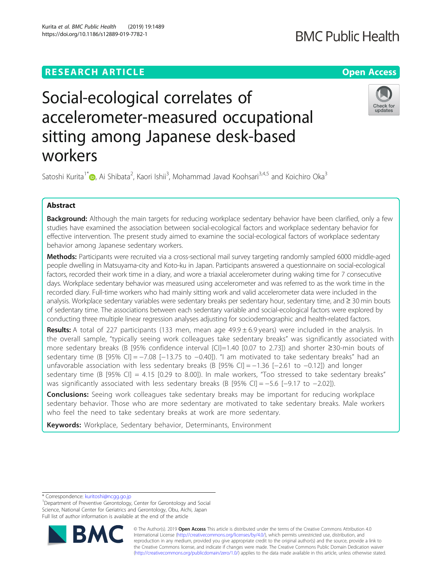Kurita et al. BMC Public Health (2019) 19:1489 https://doi.org/10.1186/s12889-019-7782-1

Check for updates

# Social-ecological correlates of accelerometer-measured occupational sitting among Japanese desk-based workers

Satoshi Kurita<sup>1\*</sup>�[,](http://orcid.org/0000-0001-5467-3268) Ai Shibata<sup>2</sup>, Kaori Ishii<sup>3</sup>, Mohammad Javad Koohsari<sup>3,4,5</sup> and Koichiro Oka<sup>3</sup>

## Abstract

Background: Although the main targets for reducing workplace sedentary behavior have been clarified, only a few studies have examined the association between social-ecological factors and workplace sedentary behavior for effective intervention. The present study aimed to examine the social-ecological factors of workplace sedentary behavior among Japanese sedentary workers.

Methods: Participants were recruited via a cross-sectional mail survey targeting randomly sampled 6000 middle-aged people dwelling in Matsuyama-city and Koto-ku in Japan. Participants answered a questionnaire on social-ecological factors, recorded their work time in a diary, and wore a triaxial accelerometer during waking time for 7 consecutive days. Workplace sedentary behavior was measured using accelerometer and was referred to as the work time in the recorded diary. Full-time workers who had mainly sitting work and valid accelerometer data were included in the analysis. Workplace sedentary variables were sedentary breaks per sedentary hour, sedentary time, and ≥ 30 min bouts of sedentary time. The associations between each sedentary variable and social-ecological factors were explored by conducting three multiple linear regression analyses adjusting for sociodemographic and health-related factors.

Results: A total of 227 participants (133 men, mean age 49.9 ± 6.9 years) were included in the analysis. In the overall sample, "typically seeing work colleagues take sedentary breaks" was significantly associated with more sedentary breaks (B [95% confidence interval {CI}=1.40 [0.07 to 2.73]) and shorter ≥30-min bouts of sedentary time (B [95% CI] = −7.08 [-13.75 to -0.40]). "I am motivated to take sedentary breaks" had an unfavorable association with less sedentary breaks (B [95% CI] = −1.36 [−2.61 to −0.12]) and longer sedentary time (B [95% CI] = 4.15 [0.29 to 8.00]). In male workers, "Too stressed to take sedentary breaks" was significantly associated with less sedentary breaks (B [95% CI] = −5.6 [-9.17 to −2.02]).

**Conclusions:** Seeing work colleagues take sedentary breaks may be important for reducing workplace sedentary behavior. Those who are more sedentary are motivated to take sedentary breaks. Male workers who feel the need to take sedentary breaks at work are more sedentary.

Keywords: Workplace, Sedentary behavior, Determinants, Environment

<sup>&</sup>lt;sup>1</sup>Department of Preventive Gerontology, Center for Gerontology and Social Science, National Center for Geriatrics and Gerontology, Obu, Aichi, Japan Full list of author information is available at the end of the article



© The Author(s). 2019 **Open Access** This article is distributed under the terms of the Creative Commons Attribution 4.0 International License [\(http://creativecommons.org/licenses/by/4.0/](http://creativecommons.org/licenses/by/4.0/)), which permits unrestricted use, distribution, and reproduction in any medium, provided you give appropriate credit to the original author(s) and the source, provide a link to the Creative Commons license, and indicate if changes were made. The Creative Commons Public Domain Dedication waiver [\(http://creativecommons.org/publicdomain/zero/1.0/](http://creativecommons.org/publicdomain/zero/1.0/)) applies to the data made available in this article, unless otherwise stated.

<sup>\*</sup> Correspondence: [kuritoshi@ncgg.go.jp](mailto:kuritoshi@ncgg.go.jp) <sup>1</sup>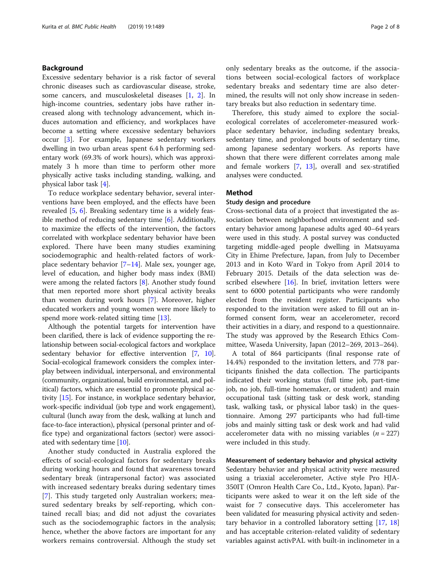### Background

Excessive sedentary behavior is a risk factor of several chronic diseases such as cardiovascular disease, stroke, some cancers, and musculoskeletal diseases [[1,](#page-7-0) [2](#page-7-0)]. In high-income countries, sedentary jobs have rather increased along with technology advancement, which induces automation and efficiency, and workplaces have become a setting where excessive sedentary behaviors occur [[3\]](#page-7-0). For example, Japanese sedentary workers dwelling in two urban areas spent 6.4 h performing sedentary work (69.3% of work hours), which was approximately 3 h more than time to perform other more physically active tasks including standing, walking, and physical labor task [\[4](#page-7-0)].

To reduce workplace sedentary behavior, several interventions have been employed, and the effects have been revealed [[5,](#page-7-0) [6](#page-7-0)]. Breaking sedentary time is a widely feasible method of reducing sedentary time [[6\]](#page-7-0). Additionally, to maximize the effects of the intervention, the factors correlated with workplace sedentary behavior have been explored. There have been many studies examining sociodemographic and health-related factors of workplace sedentary behavior  $[7-14]$  $[7-14]$  $[7-14]$  $[7-14]$  $[7-14]$ . Male sex, younger age, level of education, and higher body mass index (BMI) were among the related factors [[8\]](#page-7-0). Another study found that men reported more short physical activity breaks than women during work hours [[7\]](#page-7-0). Moreover, higher educated workers and young women were more likely to spend more work-related sitting time [[13](#page-7-0)].

Although the potential targets for intervention have been clarified, there is lack of evidence supporting the relationship between social-ecological factors and workplace sedentary behavior for effective intervention [[7](#page-7-0), [10](#page-7-0)]. Social-ecological framework considers the complex interplay between individual, interpersonal, and environmental (community, organizational, build environmental, and political) factors, which are essential to promote physical activity [\[15\]](#page-7-0). For instance, in workplace sedentary behavior, work-specific individual (job type and work engagement), cultural (lunch away from the desk, walking at lunch and face-to-face interaction), physical (personal printer and office type) and organizational factors (sector) were associated with sedentary time [[10](#page-7-0)].

Another study conducted in Australia explored the effects of social-ecological factors for sedentary breaks during working hours and found that awareness toward sedentary break (intrapersonal factor) was associated with increased sedentary breaks during sedentary times [[7\]](#page-7-0). This study targeted only Australian workers; measured sedentary breaks by self-reporting, which contained recall bias; and did not adjust the covariates such as the sociodemographic factors in the analysis; hence, whether the above factors are important for any workers remains controversial. Although the study set only sedentary breaks as the outcome, if the associations between social-ecological factors of workplace sedentary breaks and sedentary time are also determined, the results will not only show increase in sedentary breaks but also reduction in sedentary time.

Therefore, this study aimed to explore the socialecological correlates of accelerometer-measured workplace sedentary behavior, including sedentary breaks, sedentary time, and prolonged bouts of sedentary time, among Japanese sedentary workers. As reports have shown that there were different correlates among male and female workers [\[7](#page-7-0), [13\]](#page-7-0), overall and sex-stratified analyses were conducted.

#### Method

#### Study design and procedure

Cross-sectional data of a project that investigated the association between neighborhood environment and sedentary behavior among Japanese adults aged 40–64 years were used in this study. A postal survey was conducted targeting middle-aged people dwelling in Matsuyama City in Ehime Prefecture, Japan, from July to December 2013 and in Koto Ward in Tokyo from April 2014 to February 2015. Details of the data selection was described elsewhere [\[16](#page-7-0)]. In brief, invitation letters were sent to 6000 potential participants who were randomly elected from the resident register. Participants who responded to the invitation were asked to fill out an informed consent form, wear an accelerometer, record their activities in a diary, and respond to a questionnaire. The study was approved by the Research Ethics Committee, Waseda University, Japan (2012–269, 2013–264).

A total of 864 participants (final response rate of 14.4%) responded to the invitation letters, and 778 participants finished the data collection. The participants indicated their working status (full time job, part-time job, no job, full-time homemaker, or student) and main occupational task (sitting task or desk work, standing task, walking task, or physical labor task) in the questionnaire. Among 297 participants who had full-time jobs and mainly sitting task or desk work and had valid accelerometer data with no missing variables  $(n = 227)$ were included in this study.

#### Measurement of sedentary behavior and physical activity

Sedentary behavior and physical activity were measured using a triaxial accelerometer, Active style Pro HJA-350IT (Omron Health Care Co., Ltd., Kyoto, Japan). Participants were asked to wear it on the left side of the waist for 7 consecutive days. This accelerometer has been validated for measuring physical activity and sedentary behavior in a controlled laboratory setting [[17](#page-7-0), [18](#page-7-0)] and has acceptable criterion-related validity of sedentary variables against activPAL with built-in inclinometer in a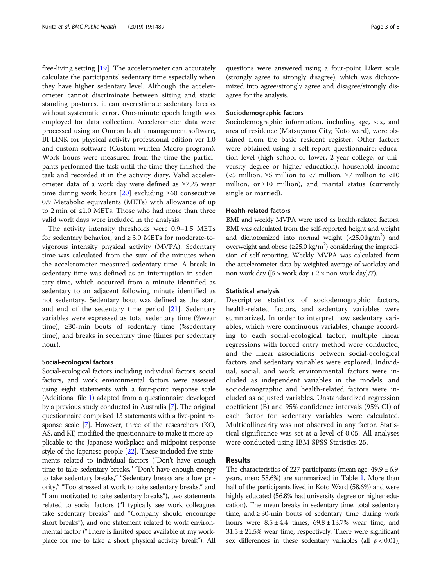free-living setting [\[19](#page-7-0)]. The accelerometer can accurately calculate the participants' sedentary time especially when they have higher sedentary level. Although the accelerometer cannot discriminate between sitting and static standing postures, it can overestimate sedentary breaks without systematic error. One-minute epoch length was employed for data collection. Accelerometer data were processed using an Omron health management software, BI-LINK for physical activity professional edition ver 1.0 and custom software (Custom-written Macro program). Work hours were measured from the time the participants performed the task until the time they finished the task and recorded it in the activity diary. Valid accelerometer data of a work day were defined as ≥75% wear time during work hours  $[20]$  excluding ≥60 consecutive 0.9 Metabolic equivalents (METs) with allowance of up to 2 min of ≤1.0 METs. Those who had more than three valid work days were included in the analysis.

The activity intensity thresholds were 0.9–1.5 METs for sedentary behavior, and  $\geq 3.0$  METs for moderate-tovigorous intensity physical activity (MVPA). Sedentary time was calculated from the sum of the minutes when the accelerometer measured sedentary time. A break in sedentary time was defined as an interruption in sedentary time, which occurred from a minute identified as sedentary to an adjacent following minute identified as not sedentary. Sedentary bout was defined as the start and end of the sedentary time period [\[21\]](#page-7-0). Sedentary variables were expressed as total sedentary time (%wear time), ≥30-min bouts of sedentary time (%sedentary time), and breaks in sedentary time (times per sedentary hour).

#### Social-ecological factors

Social-ecological factors including individual factors, social factors, and work environmental factors were assessed using eight statements with a four-point response scale (Additional file [1](#page-6-0)) adapted from a questionnaire developed by a previous study conducted in Australia [\[7\]](#page-7-0). The original questionnaire comprised 13 statements with a five-point response scale [\[7\]](#page-7-0). However, three of the researchers (KO, AS, and KI) modified the questionnaire to make it more applicable to the Japanese workplace and midpoint response style of the Japanese people [[22](#page-7-0)]. These included five statements related to individual factors ("Don't have enough time to take sedentary breaks," "Don't have enough energy to take sedentary breaks," "Sedentary breaks are a low priority," "Too stressed at work to take sedentary breaks," and "I am motivated to take sedentary breaks"), two statements related to social factors ("I typically see work colleagues take sedentary breaks" and "Company should encourage short breaks"), and one statement related to work environmental factor ("There is limited space available at my workplace for me to take a short physical activity break"). All questions were answered using a four-point Likert scale (strongly agree to strongly disagree), which was dichotomized into agree/strongly agree and disagree/strongly disagree for the analysis.

#### Sociodemographic factors

Sociodemographic information, including age, sex, and area of residence (Matsuyama City; Koto ward), were obtained from the basic resident register. Other factors were obtained using a self-report questionnaire: education level (high school or lower, 2-year college, or university degree or higher education), household income (<5 million,  $\geq$ 5 million to <7 million,  $\geq$ 7 million to <10 million, or  $\geq$ 10 million), and marital status (currently single or married).

#### Health-related factors

BMI and weekly MVPA were used as health-related factors. BMI was calculated from the self-reported height and weight and dichotomized into normal weight  $\left( < 25.0 \text{ kg/m}^2 \right)$  and overweight and obese ( $\geq$ 25.0 kg/m<sup>2</sup>) considering the imprecision of self-reporting. Weekly MVPA was calculated from the accelerometer data by weighted average of workday and non-work day ( $[5 \times \text{work day} + 2 \times \text{non-work day}]/7$ ).

#### Statistical analysis

Descriptive statistics of sociodemographic factors, health-related factors, and sedentary variables were summarized. In order to interpret how sedentary variables, which were continuous variables, change according to each social-ecological factor, multiple linear regressions with forced entry method were conducted, and the linear associations between social-ecological factors and sedentary variables were explored. Individual, social, and work environmental factors were included as independent variables in the models, and sociodemographic and health-related factors were included as adjusted variables. Unstandardized regression coefficient (B) and 95% confidence intervals (95% CI) of each factor for sedentary variables were calculated. Multicollinearity was not observed in any factor. Statistical significance was set at a level of 0.05. All analyses were conducted using IBM SPSS Statistics 25.

### Results

The characteristics of 227 participants (mean age:  $49.9 \pm 6.9$ years, men: 58.6%) are summarized in Table [1](#page-3-0). More than half of the participants lived in Koto Ward (58.6%) and were highly educated (56.8% had university degree or higher education). The mean breaks in sedentary time, total sedentary time, and  $\geq$  30-min bouts of sedentary time during work hours were  $8.5 \pm 4.4$  times,  $69.8 \pm 13.7$ % wear time, and  $31.5 \pm 21.5$ % wear time, respectively. There were significant sex differences in these sedentary variables (all  $p < 0.01$ ),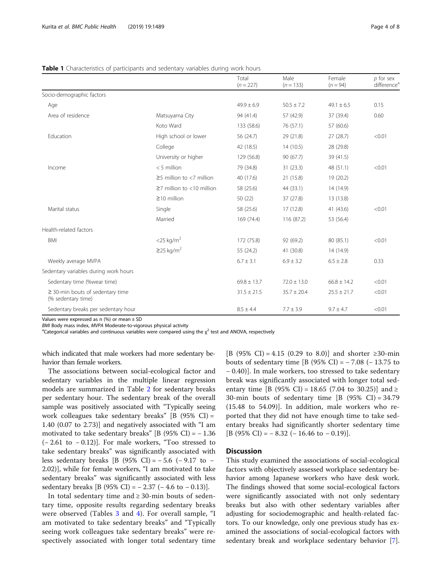#### <span id="page-3-0"></span>**Table 1** Characteristics of participants and sedentary variables during work hours

|                                                             |                                 | Total<br>$(n = 227)$ | Male<br>$(n = 133)$ | Female<br>$(n = 94)$ | $p$ for sex<br>difference <sup>a</sup> |
|-------------------------------------------------------------|---------------------------------|----------------------|---------------------|----------------------|----------------------------------------|
| Socio-demographic factors                                   |                                 |                      |                     |                      |                                        |
| Age                                                         |                                 | $49.9 \pm 6.9$       | $50.5 \pm 7.2$      | $49.1 \pm 6.5$       | 0.15                                   |
| Area of residence                                           | Matsuyama City                  | 94 (41.4)            | 57 (42.9)           | 37 (39.4)            | 0.60                                   |
|                                                             | Koto Ward                       | 133 (58.6)           | 76 (57.1)           | 57 (60.6)            |                                        |
| Education                                                   | High school or lower            | 56 (24.7)            | 29 (21.8)           | 27 (28.7)            | < 0.01                                 |
|                                                             | College                         | 42 (18.5)            | 14(10.5)            | 28 (29.8)            |                                        |
|                                                             | University or higher            | 129 (56.8)           | 90(67.7)            | 39 (41.5)            |                                        |
| Income                                                      | $<$ 5 million                   | 79 (34.8)            | 31(23.3)            | 48 (51.1)            | < 0.01                                 |
|                                                             | $\geq$ 5 million to <7 million  | 40 (17.6)            | 21 (15.8)           | 19 (20.2)            |                                        |
|                                                             | $\geq$ 7 million to <10 million | 58 (25.6)            | 44 (33.1)           | 14 (14.9)            |                                        |
|                                                             | $\geq$ 10 million               | 50(22)               | 37 (27.8)           | 13 (13.8)            |                                        |
| Marital status                                              | Single                          | 58 (25.6)            | 17 (12.8)           | 41 (43.6)            | < 0.01                                 |
|                                                             | Married                         | 169 (74.4)           | 116 (87.2)          | 53 (56.4)            |                                        |
| Health-related factors                                      |                                 |                      |                     |                      |                                        |
| <b>BMI</b>                                                  | $<$ 25 kg/m <sup>2</sup>        | 172 (75.8)           | 92 (69.2)           | 80 (85.1)            | < 0.01                                 |
|                                                             | $\geq$ 25 kg/m <sup>2</sup>     | 55 (24.2)            | 41 (30.8)           | 14 (14.9)            |                                        |
| Weekly average MVPA                                         |                                 | $6.7 \pm 3.1$        | $6.9 \pm 3.2$       | $6.5 \pm 2.8$        | 0.33                                   |
| Sedentary variables during work hours                       |                                 |                      |                     |                      |                                        |
| Sedentary time (%wear time)                                 |                                 | $69.8 \pm 13.7$      | $72.0 \pm 13.0$     | $66.8 \pm 14.2$      | < 0.01                                 |
| $\geq$ 30-min bouts of sedentary time<br>(% sedentary time) |                                 | $31.5 \pm 21.5$      | $35.7 \pm 20.4$     | $25.5 \pm 21.7$      | < 0.01                                 |
| Sedentary breaks per sedentary hour                         |                                 | $8.5 \pm 4.4$        | $7.7 \pm 3.9$       | $9.7 \pm 4.7$        | < 0.01                                 |

Values were expressed as  $n$  (%) or mean  $\pm$  SD

BMI Body mass index, MVPA Moderate-to-vigorous physical activity

<sup>a</sup>Categorical variables and continuous variables were compared using the  $\chi^2$  test and ANOVA, respectively

which indicated that male workers had more sedentary behavior than female workers.

The associations between social-ecological factor and sedentary variables in the multiple linear regression models are summarized in Table [2](#page-4-0) for sedentary breaks per sedentary hour. The sedentary break of the overall sample was positively associated with "Typically seeing work colleagues take sedentary breaks" [B (95% CI) = 1.40 (0.07 to 2.73)] and negatively associated with "I am motivated to take sedentary breaks" [B (95% CI) =  $-1.36$ (− 2.61 to − 0.12)]. For male workers, "Too stressed to take sedentary breaks" was significantly associated with less sedentary breaks [B (95% CI) = − 5.6 (− 9.17 to − 2.02)], while for female workers, "I am motivated to take sedentary breaks" was significantly associated with less sedentary breaks [B (95% CI) =  $- 2.37$  ( $- 4.6$  to  $- 0.13$ )].

In total sedentary time and  $\geq$  30-min bouts of sedentary time, opposite results regarding sedentary breaks were observed (Tables [3](#page-5-0) and [4\)](#page-6-0). For overall sample, "I am motivated to take sedentary breaks" and "Typically seeing work colleagues take sedentary breaks" were respectively associated with longer total sedentary time

[B (95% CI) = 4.15 (0.29 to 8.0)] and shorter ≥30-min bouts of sedentary time [B (95% CI) =  $-7.08$  ( $-13.75$  to − 0.40)]. In male workers, too stressed to take sedentary break was significantly associated with longer total sedentary time [B (95% CI) = 18.65 (7.04 to 30.25)] and ≥ 30-min bouts of sedentary time  $[B (95\% CI) = 34.79$ (15.48 to 54.09)]. In addition, male workers who reported that they did not have enough time to take sedentary breaks had significantly shorter sedentary time  $[B (95\% CI) = -8.32 (-16.46 \text{ to } -0.19)].$ 

#### **Discussion**

This study examined the associations of social-ecological factors with objectively assessed workplace sedentary behavior among Japanese workers who have desk work. The findings showed that some social-ecological factors were significantly associated with not only sedentary breaks but also with other sedentary variables after adjusting for sociodemographic and health-related factors. To our knowledge, only one previous study has examined the associations of social-ecological factors with sedentary break and workplace sedentary behavior [\[7](#page-7-0)].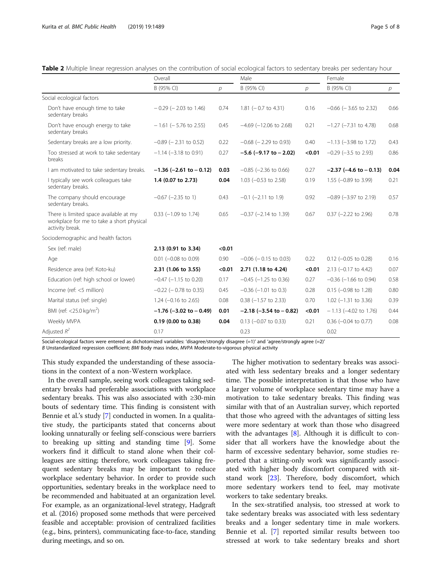<span id="page-4-0"></span>

|  | <b>Table 2</b> Multiple linear regression analyses on the contribution of social ecological factors to sedentary breaks per sedentary hour |  |  |
|--|--------------------------------------------------------------------------------------------------------------------------------------------|--|--|
|  |                                                                                                                                            |  |  |

|                                                                                                        | Overall                        |               | Male                           |        | Female                        |               |
|--------------------------------------------------------------------------------------------------------|--------------------------------|---------------|--------------------------------|--------|-------------------------------|---------------|
|                                                                                                        | B (95% CI)                     | $\mathcal{D}$ | B (95% CI)                     | р      | B (95% CI)                    | $\mathcal{P}$ |
| Social ecological factors                                                                              |                                |               |                                |        |                               |               |
| Don't have enough time to take<br>sedentary breaks                                                     | $-0.29$ ( $-2.03$ to 1.46)     | 0.74          | 1.81 $(-0.7$ to 4.31)          | 0.16   | $-0.66$ ( $-3.65$ to 2.32)    | 0.66          |
| Don't have enough energy to take<br>sedentary breaks                                                   | $-1.61$ ( $-5.76$ to 2.55)     | 0.45          | $-4.69$ ( $-12.06$ to 2.68)    | 0.21   | $-1.27$ ( $-7.31$ to 4.78)    | 0.68          |
| Sedentary breaks are a low priority.                                                                   | $-0.89$ ( $-2.31$ to 0.52)     | 0.22          | $-0.68$ ( $-2.29$ to 0.93)     | 0.40   | $-1.13$ ( $-3.98$ to 1.72)    | 0.43          |
| Too stressed at work to take sedentary<br>breaks                                                       | $-1.14$ ( $-3.18$ to 0.91)     | 0.27          | $-5.6$ ( $-9.17$ to $-2.02$ )  | < 0.01 | $-0.29$ ( $-3.5$ to 2.93)     | 0.86          |
| I am motivated to take sedentary breaks.                                                               | $-1.36$ ( $-2.61$ to $-0.12$ ) | 0.03          | $-0.85$ ( $-2.36$ to 0.66)     | 0.27   | $-2.37$ ( $-4.6$ to $-0.13$ ) | 0.04          |
| I typically see work colleagues take<br>sedentary breaks.                                              | 1.4 (0.07 to 2.73)             | 0.04          | 1.03 $(-0.53$ to 2.58)         | 0.19   | $1.55$ (-0.89 to 3.99)        | 0.21          |
| The company should encourage<br>sedentary breaks.                                                      | $-0.67$ ( $-2.35$ to 1)        | 0.43          | $-0.1$ $(-2.11$ to 1.9)        | 0.92   | $-0.89$ ( $-3.97$ to 2.19)    | 0.57          |
| There is limited space available at my<br>workplace for me to take a short physical<br>activity break. | $0.33$ (-1.09 to 1.74)         | 0.65          | $-0.37$ ( $-2.14$ to 1.39)     | 0.67   | $0.37$ (-2.22 to 2.96)        | 0.78          |
| Sociodemographic and health factors                                                                    |                                |               |                                |        |                               |               |
| Sex (ref: male)                                                                                        | 2.13 (0.91 to 3.34)            | < 0.01        |                                |        |                               |               |
| Age                                                                                                    | $0.01$ (-0.08 to 0.09)         | 0.90          | $-0.06$ ( $-0.15$ to 0.03)     | 0.22   | $0.12$ (-0.05 to 0.28)        | 0.16          |
| Residence area (ref: Koto-ku)                                                                          | 2.31 (1.06 to 3.55)            | < 0.01        | 2.71 (1.18 to 4.24)            | < 0.01 | $2.13$ (-0.17 to 4.42)        | 0.07          |
| Education (ref: high school or lower)                                                                  | $-0.47$ ( $-1.15$ to 0.20)     | 0.17          | $-0.45$ ( $-1.25$ to 0.36)     | 0.27   | $-0.36$ ( $-1.66$ to 0.94)    | 0.58          |
| Income (ref: <5 million)                                                                               | $-0.22$ ( $-0.78$ to 0.35)     | 0.45          | $-0.36$ ( $-1.01$ to 0.3)      | 0.28   | $0.15$ (-0.98 to 1.28)        | 0.80          |
| Marital status (ref: single)                                                                           | 1.24 $(-0.16$ to 2.65)         | 0.08          | $0.38$ (-1.57 to 2.33)         | 0.70   | $1.02$ (-1.31 to 3.36)        | 0.39          |
| BMI (ref: $<$ 25.0 kg/m <sup>2</sup> )                                                                 | $-1.76$ ( $-3.02$ to $-0.49$ ) | 0.01          | $-2.18$ ( $-3.54$ to $-0.82$ ) | < 0.01 | $-1.13$ (-4.02 to 1.76)       | 0.44          |
| Weekly MVPA                                                                                            | 0.19 (0.00 to 0.38)            | 0.04          | $0.13$ (-0.07 to 0.33)         | 0.21   | $0.36$ (-0.04 to 0.77)        | 0.08          |
| Adjusted $R^2$                                                                                         | 0.17                           |               | 0.23                           |        | 0.02                          |               |

Social-ecological factors were entered as dichotomized variables: 'disagree/strongly disagree (=1)' and 'agree/strongly agree (=2)'

B Unstandardized regression coefficient; BMI Body mass index, MVPA Moderate-to-vigorous physical activity

This study expanded the understanding of these associations in the context of a non-Western workplace.

In the overall sample, seeing work colleagues taking sedentary breaks had preferable associations with workplace sedentary breaks. This was also associated with ≥30-min bouts of sedentary time. This finding is consistent with Bennie et al.'s study [[7](#page-7-0)] conducted in women. In a qualitative study, the participants stated that concerns about looking unnaturally or feeling self-conscious were barriers to breaking up sitting and standing time [\[9](#page-7-0)]. Some workers find it difficult to stand alone when their colleagues are sitting; therefore, work colleagues taking frequent sedentary breaks may be important to reduce workplace sedentary behavior. In order to provide such opportunities, sedentary breaks in the workplace need to be recommended and habituated at an organization level. For example, as an organizational-level strategy, Hadgraft et al. (2016) proposed some methods that were perceived feasible and acceptable: provision of centralized facilities (e.g., bins, printers), communicating face-to-face, standing during meetings, and so on.

The higher motivation to sedentary breaks was associated with less sedentary breaks and a longer sedentary time. The possible interpretation is that those who have a larger volume of workplace sedentary time may have a motivation to take sedentary breaks. This finding was similar with that of an Australian survey, which reported that those who agreed with the advantages of sitting less were more sedentary at work than those who disagreed with the advantages  $[8]$  $[8]$ . Although it is difficult to consider that all workers have the knowledge about the harm of excessive sedentary behavior, some studies reported that a sitting-only work was significantly associated with higher body discomfort compared with sitstand work [[23\]](#page-7-0). Therefore, body discomfort, which more sedentary workers tend to feel, may motivate workers to take sedentary breaks.

In the sex-stratified analysis, too stressed at work to take sedentary breaks was associated with less sedentary breaks and a longer sedentary time in male workers. Bennie et al. [\[7](#page-7-0)] reported similar results between too stressed at work to take sedentary breaks and short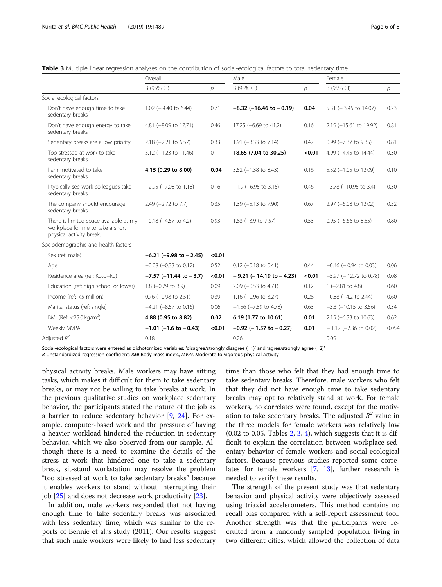|                                                                                                        | Overall                        |                | Male                         |        | Female                       |       |
|--------------------------------------------------------------------------------------------------------|--------------------------------|----------------|------------------------------|--------|------------------------------|-------|
|                                                                                                        | B (95% CI)                     | $\overline{p}$ | B (95% CI)                   | р      | B (95% CI)                   | р     |
| Social ecological factors                                                                              |                                |                |                              |        |                              |       |
| Don't have enough time to take<br>sedentary breaks                                                     | $1.02$ (-4.40 to 6.44)         | 0.71           | $-8.32$ (-16.46 to $-0.19$ ) | 0.04   | $5.31$ (-3.45 to 14.07)      | 0.23  |
| Don't have enough energy to take<br>sedentary breaks                                                   | 4.81 (-8.09 to 17.71)          | 0.46           | 17.25 (-6.69 to 41.2)        | 0.16   | 2.15 (-15.61 to 19.92)       | 0.81  |
| Sedentary breaks are a low priority                                                                    | $2.18$ (-2.21 to 6.57)         | 0.33           | 1.91 $(-3.33$ to 7.14)       | 0.47   | $0.99$ ( $-7.37$ to $9.35$ ) | 0.81  |
| Too stressed at work to take<br>sedentary breaks                                                       | $5.12$ (-1.23 to 11.46)        | 0.11           | 18.65 (7.04 to 30.25)        | < 0.01 | 4.99 (-4.45 to 14.44)        | 0.30  |
| I am motivated to take<br>sedentary breaks.                                                            | 4.15 (0.29 to 8.00)            | 0.04           | $3.52$ (-1.38 to 8.43)       | 0.16   | $5.52$ (-1.05 to 12.09)      | 0.10  |
| I typically see work colleagues take<br>sedentary breaks.                                              | $-2.95$ ( $-7.08$ to 1.18)     | 0.16           | $-1.9$ (-6.95 to 3.15)       | 0.46   | $-3.78$ ( $-10.95$ to 3.4)   | 0.30  |
| The company should encourage<br>sedentary breaks.                                                      | $2.49$ (-2.72 to 7.7)          | 0.35           | 1.39 (-5.13 to 7.90)         | 0.67   | 2.97 (-6.08 to 12.02)        | 0.52  |
| There is limited space available at my<br>workplace for me to take a short<br>physical activity break. | $-0.18$ ( $-4.57$ to 4.2)      | 0.93           | 1.83 (-3.9 to 7.57)          | 0.53   | $0.95$ (-6.66 to 8.55)       | 0.80  |
| Sociodemographic and health factors                                                                    |                                |                |                              |        |                              |       |
| Sex (ref: male)                                                                                        | $-6.21$ ( $-9.98$ to $-2.45$ ) | < 0.01         |                              |        |                              |       |
| Age                                                                                                    | $-0.08$ ( $-0.33$ to 0.17)     | 0.52           | $0.12$ (-0.18 to 0.41)       | 0.44   | $-0.46$ ( $-0.94$ to 0.03)   | 0.06  |
| Residence area (ref: Koto-ku)                                                                          | $-7.57$ ( $-11.44$ to $-3.7$ ) | < 0.01         | $-9.21$ (-14.19 to $-4.23$ ) | < 0.01 | $-5.97$ ( $-12.72$ to 0.78)  | 0.08  |
| Education (ref: high school or lower)                                                                  | $1.8$ (-0.29 to 3.9)           | 0.09           | $2.09$ (-0.53 to 4.71)       | 0.12   | $1 (-2.81 to 4.8)$           | 0.60  |
| Income (ref: <5 million)                                                                               | $0.76$ (-0.98 to 2.51)         | 0.39           | 1.16 $(-0.96$ to 3.27)       | 0.28   | $-0.88$ ( $-4.2$ to 2.44)    | 0.60  |
| Marital status (ref: single)                                                                           | $-4.21$ ( $-8.57$ to 0.16)     | 0.06           | $-1.56$ ( $-7.89$ to 4.78)   | 0.63   | $-3.3$ ( $-10.15$ to 3.56)   | 0.34  |
| BMI (Ref: <25.0 kg/m <sup>2</sup> )                                                                    | 4.88 (0.95 to 8.82)            | 0.02           | 6.19 (1.77 to 10.61)         | 0.01   | $2.15$ (-6.33 to 10.63)      | 0.62  |
| Weekly MVPA                                                                                            | $-1.01$ (-1.6 to $-0.43$ )     | < 0.01         | $-0.92$ (-1.57 to $-0.27$ )  | 0.01   | $-1.17$ (-2.36 to 0.02)      | 0.054 |
| Adjusted $R^2$                                                                                         | 0.18                           |                | 0.26                         |        | 0.05                         |       |

<span id="page-5-0"></span>Table 3 Multiple linear regression analyses on the contribution of social-ecological factors to total sedentary time

Social-ecological factors were entered as dichotomized variables: 'disagree/strongly disagree (=1)' and 'agree/strongly agree (=2)'

B Unstandardized regression coefficient; BMI Body mass index,, MVPA Moderate-to-vigorous physical activity

physical activity breaks. Male workers may have sitting tasks, which makes it difficult for them to take sedentary breaks, or may not be willing to take breaks at work. In the previous qualitative studies on workplace sedentary behavior, the participants stated the nature of the job as a barrier to reduce sedentary behavior [\[9](#page-7-0), [24\]](#page-7-0). For example, computer-based work and the pressure of having a heavier workload hindered the reduction in sedentary behavior, which we also observed from our sample. Although there is a need to examine the details of the stress at work that hindered one to take a sedentary break, sit-stand workstation may resolve the problem "too stressed at work to take sedentary breaks" because it enables workers to stand without interrupting their job [\[25](#page-7-0)] and does not decrease work productivity [[23\]](#page-7-0).

In addition, male workers responded that not having enough time to take sedentary breaks was associated with less sedentary time, which was similar to the reports of Bennie et al.'s study (2011). Our results suggest that such male workers were likely to had less sedentary

time than those who felt that they had enough time to take sedentary breaks. Therefore, male workers who felt that they did not have enough time to take sedentary breaks may opt to relatively stand at work. For female workers, no correlates were found, except for the motivation to take sedentary breaks. The adjusted  $R^2$  value in the three models for female workers was relatively low  $(0.02 \text{ to } 0.05, \text{Tables } 2, 3, 4)$  $(0.02 \text{ to } 0.05, \text{Tables } 2, 3, 4)$  $(0.02 \text{ to } 0.05, \text{Tables } 2, 3, 4)$  $(0.02 \text{ to } 0.05, \text{Tables } 2, 3, 4)$  $(0.02 \text{ to } 0.05, \text{Tables } 2, 3, 4)$ , which suggests that it is difficult to explain the correlation between workplace sedentary behavior of female workers and social-ecological factors. Because previous studies reported some correlates for female workers [\[7](#page-7-0), [13](#page-7-0)], further research is needed to verify these results.

The strength of the present study was that sedentary behavior and physical activity were objectively assessed using triaxial accelerometers. This method contains no recall bias compared with a self-report assessment tool. Another strength was that the participants were recruited from a randomly sampled population living in two different cities, which allowed the collection of data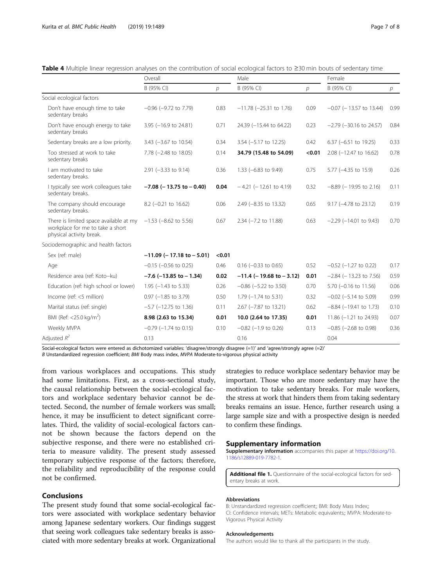|                                                                                                        | Overall                         |               | Male                         |               | Female                       |      |
|--------------------------------------------------------------------------------------------------------|---------------------------------|---------------|------------------------------|---------------|------------------------------|------|
|                                                                                                        | B (95% CI)                      | $\mathcal{D}$ | B (95% CI)                   | $\mathcal{D}$ | B (95% CI)                   | р    |
| Social ecological factors                                                                              |                                 |               |                              |               |                              |      |
| Don't have enough time to take<br>sedentary breaks                                                     | $-0.96$ ( $-9.72$ to 7.79)      | 0.83          | $-11.78$ ( $-25.31$ to 1.76) | 0.09          | $-0.07$ ( $-13.57$ to 13.44) | 0.99 |
| Don't have enough energy to take<br>sedentary breaks                                                   | $3.95$ (-16.9 to 24.81)         | 0.71          | 24.39 (-15.44 to 64.22)      | 0.23          | $-2.79$ ( $-30.16$ to 24.57) | 0.84 |
| Sedentary breaks are a low priority.                                                                   | $3.43$ (-3.67 to 10.54)         | 0.34          | 3.54 (-5.17 to 12.25)        | 0.42          | $6.37$ (-6.51 to 19.25)      | 0.33 |
| Too stressed at work to take<br>sedentary breaks                                                       | 7.78 (-2.48 to 18.05)           | 0.14          | 34.79 (15.48 to 54.09)       | < 0.01        | 2.08 (-12.47 to 16.62)       | 0.78 |
| I am motivated to take<br>sedentary breaks.                                                            | 2.91 (-3.33 to 9.14)            | 0.36          | 1.33 (-6.83 to 9.49)         | 0.75          | 5.77 (-4.35 to 15.9)         | 0.26 |
| I typically see work colleagues take<br>sedentary breaks.                                              | $-7.08$ ( $-13.75$ to $-0.40$ ) | 0.04          | $-4.21$ (-12.61 to 4.19)     | 0.32          | $-8.89$ ( $-19.95$ to 2.16)  | 0.11 |
| The company should encourage<br>sedentary breaks.                                                      | $8.2$ (-0.21 to 16.62)          | 0.06          | 2.49 (-8.35 to 13.32)        | 0.65          | 9.17 (-4.78 to 23.12)        | 0.19 |
| There is limited space available at my<br>workplace for me to take a short<br>physical activity break. | $-1.53$ ( $-8.62$ to 5.56)      | 0.67          | 2.34 (-7.2 to 11.88)         | 0.63          | $-2.29$ ( $-14.01$ to 9.43)  | 0.70 |
| Sociodemographic and health factors                                                                    |                                 |               |                              |               |                              |      |
| Sex (ref: male)                                                                                        | $-11.09$ (-17.18 to -5.01)      | < 0.01        |                              |               |                              |      |
| Age                                                                                                    | $-0.15$ ( $-0.56$ to 0.25)      | 0.46          | $0.16$ (-0.33 to 0.65)       | 0.52          | $-0.52$ ( $-1.27$ to 0.22)   | 0.17 |
| Residence area (ref: Koto-ku)                                                                          | $-7.6$ ( $-13.85$ to $-1.34$ )  | 0.02          | $-11.4$ (-19.68 to -3.12)    | 0.01          | $-2.84$ ( $-13.23$ to 7.56)  | 0.59 |
| Education (ref: high school or lower)                                                                  | $1.95$ (-1.43 to 5.33)          | 0.26          | $-0.86$ ( $-5.22$ to 3.50)   | 0.70          | $5.70$ (-0.16 to 11.56)      | 0.06 |
| Income (ref: <5 million)                                                                               | $0.97$ (-1.85 to 3.79)          | 0.50          | $1.79$ (-1.74 to 5.31)       | 0.32          | $-0.02$ ( $-5.14$ to 5.09)   | 0.99 |
| Marital status (ref: single)                                                                           | $-5.7$ ( $-12.75$ to 1.36)      | 0.11          | 2.67 (-7.87 to 13.21)        | 0.62          | $-8.84$ ( $-19.41$ to 1.73)  | 0.10 |
| BMI (Ref: $<$ 25.0 kg/m <sup>2</sup> )                                                                 | 8.98 (2.63 to 15.34)            | 0.01          | 10.0 (2.64 to 17.35)         | 0.01          | $11.86 (-1.21$ to 24.93)     | 0.07 |
| Weekly MVPA                                                                                            | $-0.79$ ( $-1.74$ to 0.15)      | 0.10          | $-0.82$ ( $-1.9$ to 0.26)    | 0.13          | $-0.85$ ( $-2.68$ to 0.98)   | 0.36 |
| Adjusted $R^2$                                                                                         | 0.13                            |               | 0.16                         |               | 0.04                         |      |

<span id="page-6-0"></span>

Social-ecological factors were entered as dichotomized variables: 'disagree/strongly disagree (=1)' and 'agree/strongly agree (=2)'

B Unstandardized regression coefficient; BMI Body mass index, MVPA Moderate-to-vigorous physical activity

from various workplaces and occupations. This study had some limitations. First, as a cross-sectional study, the causal relationship between the social-ecological factors and workplace sedentary behavior cannot be detected. Second, the number of female workers was small; hence, it may be insufficient to detect significant correlates. Third, the validity of social-ecological factors cannot be shown because the factors depend on the subjective response, and there were no established criteria to measure validity. The present study assessed temporary subjective response of the factors; therefore, the reliability and reproducibility of the response could not be confirmed.

#### Conclusions

The present study found that some social-ecological factors were associated with workplace sedentary behavior among Japanese sedentary workers. Our findings suggest that seeing work colleagues take sedentary breaks is associated with more sedentary breaks at work. Organizational

strategies to reduce workplace sedentary behavior may be important. Those who are more sedentary may have the motivation to take sedentary breaks. For male workers, the stress at work that hinders them from taking sedentary breaks remains an issue. Hence, further research using a large sample size and with a prospective design is needed to confirm these findings.

#### Supplementary information

Supplementary information accompanies this paper at [https://doi.org/10.](https://doi.org/10.1186/s12889-019-7782-1) [1186/s12889-019-7782-1.](https://doi.org/10.1186/s12889-019-7782-1)

Additional file 1. Questionnaire of the social-ecological factors for sedentary breaks at work.

#### Abbreviations

B: Unstandardized regression coefficient;; BMI: Body Mass Index;; CI: Confidence intervals; METs: Metabolic equivalents;; MVPA: Moderate-to-Vigorous Physical Activity

#### Acknowledgements

The authors would like to thank all the participants in the study.